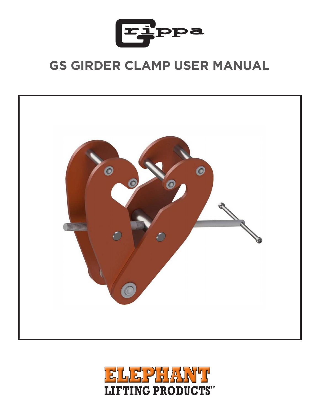

## **GS GIRDER CLAMP USER MANUAL**



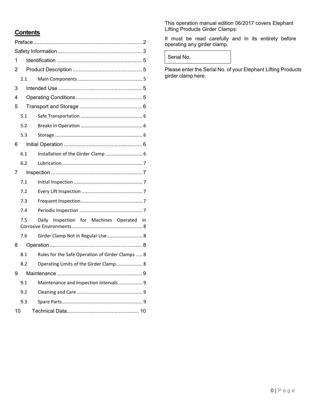## **Contents**

| 1  |     |                                                  |  |  |  |  |  |  |  |
|----|-----|--------------------------------------------------|--|--|--|--|--|--|--|
| 2  |     |                                                  |  |  |  |  |  |  |  |
|    | 2.1 |                                                  |  |  |  |  |  |  |  |
| 3  |     |                                                  |  |  |  |  |  |  |  |
| 4  |     |                                                  |  |  |  |  |  |  |  |
| 5  |     |                                                  |  |  |  |  |  |  |  |
|    | 5.1 |                                                  |  |  |  |  |  |  |  |
|    | 5.2 |                                                  |  |  |  |  |  |  |  |
|    | 5.3 |                                                  |  |  |  |  |  |  |  |
| 6  |     |                                                  |  |  |  |  |  |  |  |
|    | 6.1 | Installation of the Girder Clamp  6              |  |  |  |  |  |  |  |
|    | 6.2 |                                                  |  |  |  |  |  |  |  |
| 7  |     |                                                  |  |  |  |  |  |  |  |
|    | 7.1 |                                                  |  |  |  |  |  |  |  |
|    | 7.2 |                                                  |  |  |  |  |  |  |  |
|    | 7.3 |                                                  |  |  |  |  |  |  |  |
|    | 7.4 |                                                  |  |  |  |  |  |  |  |
|    | 7.5 | Daily Inspection for Machines Operated in        |  |  |  |  |  |  |  |
|    | 7.6 | Girder Clamp Not in Regular Use 8                |  |  |  |  |  |  |  |
| 8  |     |                                                  |  |  |  |  |  |  |  |
|    | 8.1 | Rules for the Safe Operation of Girder Clamps  8 |  |  |  |  |  |  |  |
|    | 8.2 | Operating Limits of the Girder Clamp 8           |  |  |  |  |  |  |  |
| 9  |     |                                                  |  |  |  |  |  |  |  |
|    | 9.1 | Maintenance and Inspection Intervals  9          |  |  |  |  |  |  |  |
|    | 9.2 |                                                  |  |  |  |  |  |  |  |
|    | 9.3 |                                                  |  |  |  |  |  |  |  |
| 10 |     |                                                  |  |  |  |  |  |  |  |

This operation manual edition 06/2017 covers Elephant Lifting Products Girder Clamps:

It must be read carefully and in its entirety before operating any girder clamp.

Serial No.

Please enter the Serial No. of your Elephant Lifting Products girder clamp here.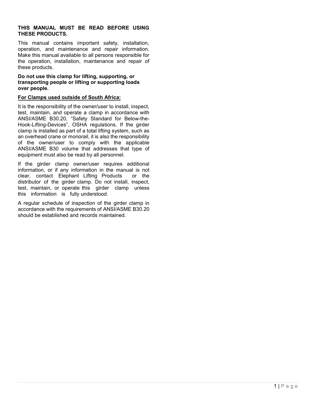#### **THIS MANUAL MUST BE READ BEFORE USING THESE PRODUCTS.**

This manual contains important safety, installation, operation, and maintenance and repair information. Make this manual available to all persons responsible for the operation, installation, maintenance and repair of these products.

#### **Do not use this clamp for lifting, supporting, or transporting people or lifting or supporting loads over people.**

#### **For Clamps used outside of South Africa:**

It is the responsibility of the owner/user to install, inspect, test, maintain, and operate a clamp in accordance with ANSI/ASME B30.20, "Safety Standard for Below-the-Hook-Lifting-Devices", OSHA regulations. If the girder clamp is installed as part of a total lifting system, such as an overhead crane or monorail, it is also the responsibility of the owner/user to comply with the applicable ANSI/ASME B30 volume that addresses that type of equipment must also be read by all personnel.

If the girder clamp owner/user requires additional information, or if any information in the manual is not clear, contact Elephant Lifting Products distributor of the girder clamp. Do not install, inspect, test, maintain, or operate this girder clamp unless this information is fully understood.

A regular schedule of inspection of the girder clamp in accordance with the requirements of ANSI/ASME B30.20 should be established and records maintained.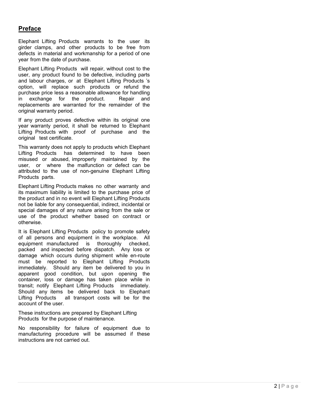## **Preface**

Elephant Lifting Products warrants to the user its girder clamps, and other products to be free from defects in material and workmanship for a period of one year from the date of purchase.

Elephant Lifting Products will repair, without cost to the user, any product found to be defective, including parts and labour charges, or at Elephant Lifting Products 's option, will replace such products or refund the purchase price less a reasonable allowance for handling in exchange for the product. Repair and replacements are warranted for the remainder of the original warranty period.

If any product proves defective within its original one year warranty period, it shall be returned to Elephant Lifting Products with proof of purchase and the original test certificate.

This warranty does not apply to products which Elephant Lifting Products has determined to have been misused or abused, improperly maintained by the user, or where the malfunction or defect can be attributed to the use of non-genuine Elephant Lifting Products parts.

Elephant Lifting Products makes no other warranty and its maximum liability is limited to the purchase price of the product and in no event will Elephant Lifting Products not be liable for any consequential, indirect, incidental or special damages of any nature arising from the sale or use of the product whether based on contract or otherwise.

It is Elephant Lifting Products policy to promote safety of all persons and equipment in the workplace. All equipment manufactured is thoroughly checked, packed and inspected before dispatch. Any loss or damage which occurs during shipment while en-route must be reported to Elephant Lifting Products immediately. Should any item be delivered to you in apparent good condition, but upon opening the container, loss or damage has taken place while in transit; notify Elephant Lifting Products immediately. Should any items be delivered back to Elephant Lifting Products all transport costs will be for the account of the user.

These instructions are prepared by Elephant Lifting Products for the purpose of maintenance.

No responsibility for failure of equipment due to manufacturing procedure will be assumed if these instructions are not carried out.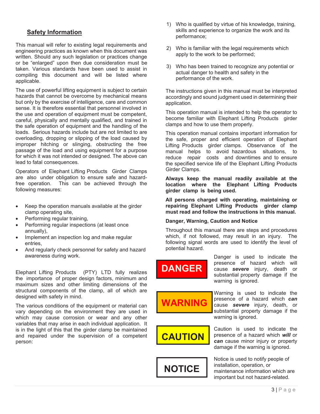## **Safety Information**

This manual will refer to existing legal requirements and engineering practices as known when this document was written. Should any such legislation or practices change or be "enlarged" upon then due consideration must be taken. Various standards have been used to assist in compiling this document and will be listed where applicable.

The use of powerful lifting equipment is subject to certain hazards that cannot be overcome by mechanical means but only by the exercise of intelligence, care and common sense. It is therefore essential that personnel involved in the use and operation of equipment must be competent, careful, physically and mentally qualified, and trained in the safe operation of equipment and the handling of the loads. Serious hazards include but are not limited to are overloading, dropping or slipping of the load caused by improper hitching or slinging, obstructing the free passage of the load and using equipment for a purpose for which it was not intended or designed. The above can lead to fatal consequences.

Operators of Elephant Lifting Products Girder Clamps are also under obligation to ensure safe and hazardfree operation. This can be achieved through the following measures:

- Keep the operation manuals available at the girder clamp operating site,
- Performing regular training,
- Performing regular inspections (at least once annually),
- Implement an inspection log and make regular entries,
- And regularly check personnel for safety and hazard awareness during work.

Elephant Lifting Products (PTY) LTD fully realizes the importance of proper design factors, minimum and maximum sizes and other limiting dimensions of the structural components of the clamp, all of which are designed with safety in mind.

The various conditions of the equipment or material can vary depending on the environment they are used in which may cause corrosion or wear and any other variables that may arise in each individual application. It is in the light of this that the girder clamp be maintained and repaired under the supervision of a competent person:

- 1) Who is qualified by virtue of his knowledge, training, skills and experience to organize the work and its performance;
- 2) Who is familiar with the legal requirements which apply to the work to be performed;
- 3) Who has been trained to recognize any potential or actual danger to health and safety in the performance of the work.

The instructions given in this manual must be interpreted accordingly and sound judgment used in determining their application.

This operation manual is intended to help the operator to become familiar with Elephant Lifting Products girder clamps and how to use them properly.

This operation manual contains important information for the safe, proper and efficient operation of Elephant Lifting Products girder clamps. Observance of the manual helps to avoid hazardous situations, to reduce repair costs and downtimes and to ensure the specified service life of the Elephant Lifting Products Girder Clamps.

**Always keep the manual readily available at the location where the Elephant Lifting Products girder clamp is being used.** 

**All persons charged with operating, maintaining or repairing Elephant Lifting Products girder clamp must read and follow the instructions in this manual.** 

#### **Danger, Warning, Caution and Notice**

Throughout this manual there are steps and procedures which, if not followed, may result in an injury. The following signal words are used to identify the level of potential hazard.



presence of hazard which will cause *severe* injury, death or substantial property damage if the warning is ignored.

Danger is used to indicate the



Warning is used to indicate the presence of a hazard which *can* cause *severe* injury, death, or substantial property damage if the warning is ignored.



**NOTICE** 

Caution is used to indicate the presence of a hazard which *will* or *can* cause minor injury or property damage if the warning is ignored.

Notice is used to notify people of installation, operation, or maintenance information which are important but not hazard-related.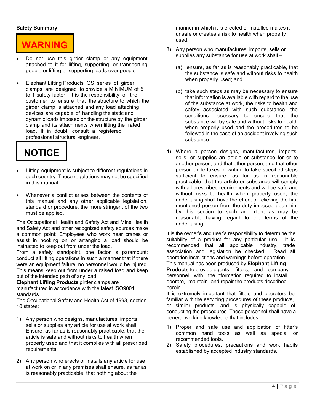#### **Safety Summary**



- Do not use this girder clamp or any equipment attached to it for lifting, supporting, or transporting people or lifting or supporting loads over people.
- Elephant Lifting Products GS series of girder clamps are designed to provide a MINIMUM of 5 to 1 safety factor. It is the responsibility of the customer to ensure that the structure to which the girder clamp is attached and any load attaching devices are capable of handling the static and dynamic loads imposed on the structure by the girder clamp and its attachments when lifting the rated load. If in doubt, consult a registered professional structural engineer.

## **NOTICE**

- Lifting equipment is subject to different regulations in each country. These regulations may not be specified in this manual.
- Whenever a conflict arises between the contents of this manual and any other applicable legislation, standard or procedure, the more stringent of the two must be applied.

The Occupational Health and Safety Act and Mine Health and Safety Act and other recognized safety sources make a common point: Employees who work near cranes or assist in hooking on or arranging a load should be instructed to keep out from under the load.

From a safety standpoint, one factor is paramount: conduct all lifting operations in such a manner that if there were an equipment failure, no personnel would be injured. This means keep out from under a raised load and keep out of the intended path of any load.

**Elephant Lifting Products** girder clamps are manufactured in accordance with the latest ISO9001 standards.

The Occupational Safety and Health Act of 1993, section 10 states:

- 1) Any person who designs, manufactures, imports, sells or supplies any article for use at work shall Ensure, as far as is reasonably practicable, that the article is safe and without risks to health when properly used and that it complies with all prescribed requirements.
- 2) Any person who erects or installs any article for use at work on or in any premises shall ensure, as far as is reasonably practicable, that nothing about the

manner in which it is erected or installed makes it unsafe or creates a risk to health when properly used.

- 3) Any person who manufactures, imports, sells or supplies any substance for use at work shall –
	- (a) ensure, as far as is reasonably practicable, that the substance is safe and without risks to health when properly used; and
	- (b) take such steps as may be necessary to ensure that information is available with regard to the use of the substance at work, the risks to health and safety associated with such substance, the conditions necessary to ensure that the substance will by safe and without risks to health when properly used and the procedures to be followed in the case of an accident involving such substance.
- 4) Where a person designs, manufactures, imports, sells, or supplies an article or substance for or to another person, and that other person, and that other person undertakes in writing to take specified steps sufficient to ensure, as far as is reasonable practicable, that the article or substance will comply with all prescribed requirements and will be safe and without risks to health when properly used, the undertaking shall have the effect of relieving the first mentioned person from the duty imposed upon him by this section to such an extent as may be reasonable having regard to the terms of the undertaking.

It is the owner's and user's responsibility to determine the suitability of a product for any particular use. It is recommended that all applicable industry, trade association and legislation be checked. Read all operation instructions and warnings before operation. This manual has been produced by **Elephant Lifting Products** to provide agents, fitters, and company personnel with the information required to install, operate, maintain and repair the products described herein.

It is extremely important that fitters and operators be familiar with the servicing procedures of these products, or similar products, and is physically capable of conducting the procedures. These personnel shall have a general working knowledge that includes:

- 1) Proper and safe use and application of fitter's common hand tools as well as special or recommended tools.
- 2) Safety procedures, precautions and work habits established by accepted industry standards.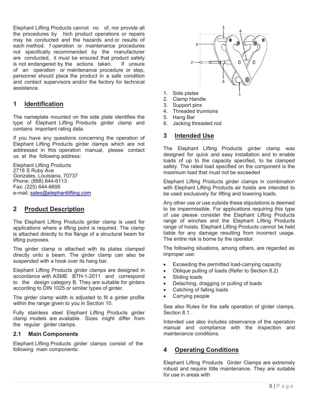Elephant Lifting Products cannot no of, nor provide all the procedures by hich product operations or repairs may be conducted and the hazards and or results of each method. f operation or maintenance procedures not specifically recommended by the manufacturer are conducted, it must be ensured that product safety is not endangered by the actions taken. If unsure of an operation or maintenance procedure or step, personnel should place the product in a safe condition and contact supervisors and/or the factory for technical assistance.

#### **1 Identification**

The nameplate mounted on the side plate identifies the type of Elephant Lifting Products girder clamp and contains important rating data.

If you have any questions concerning the operation of Elephant Lifting Products girder clamps which are not addressed in this operation manual, please contact us at the following address:

Elephant Lifting Products 2718 S Ruby Ave Gonzales, Louisiana, 70737 Phone: (888) 844-6113 Fax: (225) 644-6695 e-mail: sales@elephantlifting.com

## **2 Product Description**

The Elephant Lifting Products girder clamp is used for applications where a lifting point is required. The clamp is attached directly to the flange of a structural beam for lifting purposes.

The girder clamp is attached with its plates clamped directly onto a beam. The girder clamp can also be suspended with a hook over its hang bar.

Elephant Lifting Products girder clamps are designed in accordance with ASME BTH-1-2011 and correspond to the design category B. They are suitable for girders according to DIN 1025 or similar types of girder.

The girder clamp width is adjusted to fit a girder profile within the range given to you in Section 10.

Fully stainless steel Elephant Lifting Products girder clamp models are available. Sizes might differ from the regular girder clamps.

#### **2.1 Main Components**

Elephant Lifting Products girder clamps consist of the following main components:



- 1. Side plates
- 2. Clamp Handle
- 3. Support pins
- 4. Threaded trunnions
- 5. Hang Bar
- 6. Jacking threaded rod

## **3 Intended Use**

The Elephant Lifting Products girder clamp was designed for quick and easy installation and to enable loads of up to the capacity specified, to be clamped safely. The rated load specified on the component is the maximum load that must not be exceeded

Elephant Lifting Products girder clamps in combination with Elephant Lifting Products air hoists are intended to be used exclusively for lifting and lowering loads.

Any other use or use outside these stipulations is deemed to be impermissible. For applications requiring this type of use please consider the Elephant Lifting Products range of winches and the Elephant Lifting Products range of hoists. Elephant Lifting Products cannot be held liable for any damage resulting from incorrect usage. The entire risk is borne by the operator.

The following situations, among others, are regarded as improper use:

- Exceeding the permitted load-carrying capacity
- Oblique pulling of loads (Refer to Section 8.2)
- Sliding loads
- Detaching, dragging or pulling of loads
- Catching of falling loads
- Carrying people

See also Rules for the safe operation of girder clamps, Section 8.1.

Intended use also includes observance of the operation manual and compliance with the inspection and maintenance conditions.

## **4 Operating Conditions**

Elephant Lifting Products Girder Clamps are extremely robust and require little maintenance. They are suitable for use in areas with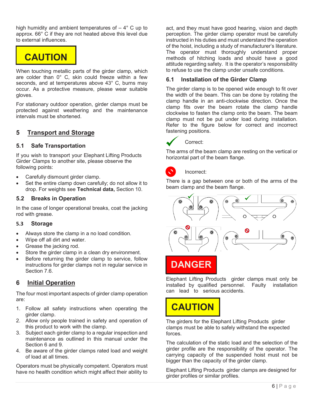high humidity and ambient temperatures of  $-4^{\circ}$  C up to approx. 66° C if they are not heated above this level due to external influences.



When touching metallic parts of the girder clamp, which are colder than 0° C, skin could freeze within a few seconds, and at temperatures above 43° C, burns may occur. As a protective measure, please wear suitable gloves.

For stationary outdoor operation, girder clamps must be protected against weathering and the maintenance intervals must be shortened.

## **5 Transport and Storage**

#### **5.1 Safe Transportation**

If you wish to transport your Elephant Lifting Products Girder Clamps to another site, please observe the following points:

- Carefully dismount girder clamp.
- Set the entire clamp down carefully; do not allow it to drop. For weights see **Technical data,** Section 10.

### **5.2 Breaks in Operation**

In the case of longer operational breaks, coat the jacking rod with grease.

#### **5.3 Storage**

- Always store the clamp in a no load condition.
- Wipe off all dirt and water.
- Grease the jacking rod.
- Store the girder clamp in a clean dry environment.
- Before returning the girder clamp to service, follow instructions for girder clamps not in regular service in Section 7.6.

## **6 Initial Operation**

The four most important aspects of girder clamp operation are:

- 1. Follow all safety instructions when operating the girder clamp.
- 2. Allow only people trained in safety and operation of this product to work with the clamp.
- 3. Subject each girder clamp to a regular inspection and maintenance as outlined in this manual under the Section 6 and 9.
- 4. Be aware of the girder clamps rated load and weight of load at all times.

Operators must be physically competent. Operators must have no health condition which might affect their ability to

act, and they must have good hearing, vision and depth perception. The girder clamp operator must be carefully instructed in his duties and must understand the operation of the hoist, including a study of manufacturer's literature. The operator must thoroughly understand proper methods of hitching loads and should have a good attitude regarding safety. It is the operator's responsibility to refuse to use the clamp under unsafe conditions.

### **6.1 Installation of the Girder Clamp**

The girder clamp is to be opened wide enough to fit over the width of the beam. This can be done by rotating the clamp handle in an anti-clockwise direction. Once the clamp fits over the beam rotate the clamp handle clockwise to fasten the clamp onto the beam. The beam clamp must not be put under load during installation. Refer to the figure below for correct and incorrect fastening positions.



The arms of the beam clamp are resting on the vertical or horizontal part of the beam flange.

## Incorrect:

There is a gap between one or both of the arms of the beam clamp and the beam flange.



## **DANGER**

Elephant Lifting Products girder clamps must only be installed by qualified personnel. Faulty installation can lead to serious accidents.



The girders for the Elephant Lifting Products girder clamps must be able to safely withstand the expected forces.

The calculation of the static load and the selection of the girder profile are the responsibility of the operator. The carrying capacity of the suspended hoist must not be bigger than the capacity of the girder clamp.

Elephant Lifting Products girder clamps are designed for girder profiles or similar profiles.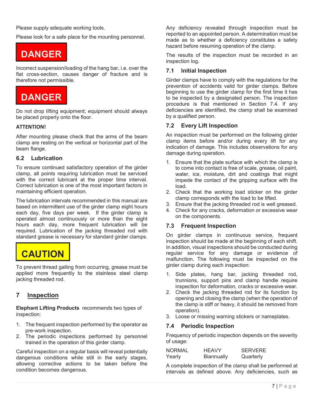Please supply adequate working tools.

Please look for a safe place for the mounting personnel.



Incorrect suspension/loading of the hang bar, i.e. over the flat cross-section, causes danger of fracture and is therefore not permissible.



Do not drop lifting equipment; equipment should always be placed properly onto the floor.

#### **ATTENTION!**

After mounting please check that the arms of the beam clamp are resting on the vertical or horizontal part of the beam flange.

#### **6.2 Lubrication**

To ensure continued satisfactory operation of the girder clamp, all points requiring lubrication must be serviced with the correct lubricant at the proper time interval. Correct lubrication is one of the most important factors in maintaining efficient operation.

The lubrication intervals recommended in this manual are based on intermittent use of the girder clamp eight hours each day, five days per week. If the girder clamp is operated almost continuously or more than the eight hours each day, more frequent lubrication will be required. Lubrication of the jacking threaded rod with standard grease is necessary for standard girder clamps.



To prevent thread galling from occurring, grease must be applied more frequently to the stainless steel clamp jacking threaded rod.

## **7 Inspection**

**Elephant Lifting Products** recommends two types of inspection:

- 1. The frequent inspection performed by the operator as pre-work inspection.
- 2. The periodic inspections performed by personnel trained in the operation of this girder clamp.

Careful inspection on a regular basis will reveal potentially dangerous conditions while still in the early stages, allowing corrective actions to be taken before the condition becomes dangerous.

Any deficiency revealed through inspection must be reported to an appointed person. A determination must be made as to whether a deficiency constitutes a safety hazard before resuming operation of the clamp.

The results of the inspection must be recorded in an inspection log.

#### **7.1 Initial Inspection**

Girder clamps have to comply with the regulations for the prevention of accidents valid for girder clamps. Before beginning to use the girder clamp for the first time it has to be inspected by a designated person. The inspection procedure is that mentioned in Section 7.4. If any deficiencies are identified, the clamp shall be examined by a qualified person.

#### **7.2 Every Lift Inspection**

An inspection must be performed on the following girder clamp items before and/or during every lift for any indication of damage. This includes observations for any damage during operation.

- 1. Ensure that the plate surface with which the clamp is to come into contact is free of scale, grease, oil paint, water, ice, moisture, dirt and coatings that might impede the contact of the gripping surface with the load.
- 2. Check that the working load sticker on the girder clamp corresponds with the load to be lifted.
- 3. Ensure that the jacking threaded rod is well greased.
- 4. Check for any cracks, deformation or excessive wear on the components.

#### **7.3 Frequent Inspection**

On girder clamps in continuous service, frequent inspection should be made at the beginning of each shift. In addition, visual inspections should be conducted during regular service for any damage or evidence of malfunction. The following must be inspected on the girder clamp during each inspection:

- 1. Side plates, hang bar, jacking threaded rod, trunnions, support pins and clamp handle require inspection for deformation, cracks or excessive wear.
- 2. Check the jacking threaded rod for its function by opening and closing the clamp (when the operation of the clamp is stiff or heavy, it should be removed from operation).
- 3. Loose or missing warning stickers or nameplates.

#### **7.4 Periodic Inspection**

Frequency of periodic inspection depends on the severity of usage:

| <b>NORMAL</b> | <b>HEAVY</b> | <b>SERVERE</b> |
|---------------|--------------|----------------|
| Yearly        | Biannually   | Quarterly      |

A complete inspection of the clamp shall be performed at intervals as defined above. Any deficiencies, such as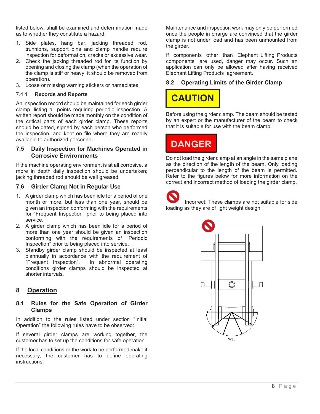listed below, shall be examined and determination made as to whether they constitute a hazard.

- 1. Side plates, hang bar, jacking threaded rod, trunnions, support pins and clamp handle require inspection for deformation, cracks or excessive wear.
- 2. Check the jacking threaded rod for its function by opening and closing the clamp (when the operation of the clamp is stiff or heavy, it should be removed from operation).
- 3. Loose or missing warning stickers or nameplates.

#### 7.4.1 **Records and Reports**

An inspection record should be maintained for each girder clamp, listing all points requiring periodic inspection. A written report should be made monthly on the condition of the critical parts of each girder clamp. These reports should be dated, signed by each person who performed the inspection, and kept on file where they are readily available to authorized personnel.

#### **7.5 Daily Inspection for Machines Operated in Corrosive Environments**

If the machine operating environment is at all corrosive, a more in depth daily inspection should be undertaken; jacking threaded rod should be well greased.

#### **7.6 Girder Clamp Not in Regular Use**

- 1. A girder clamp which has been idle for a period of one month or more, but less than one year, should be given an inspection conforming with the requirements for "Frequent Inspection" prior to being placed into service.
- 2. A girder clamp which has been idle for a period of more than one year should be given an inspection conforming with the requirements of "Periodic Inspection" prior to being placed into service.
- 3. Standby girder clamp should be inspected at least biannually in accordance with the requirement of "Frequent Inspection". In abnormal operating In abnormal operating conditions girder clamps should be inspected at shorter intervals.

## **8 Operation**

#### **8.1 Rules for the Safe Operation of Girder Clamps**

In addition to the rules listed under section "Initial Operation" the following rules have to be observed:

If several girder clamps are working together, the customer has to set up the conditions for safe operation.

If the local conditions or the work to be performed make it necessary, the customer has to define operating instructions.

Maintenance and inspection work may only be performed once the people in charge are convinced that the girder clamp is not under load and has been unmounted from the girder.

If components other than Elephant Lifting Products components are used, danger may occur. Such an application can only be allowed after having received Elephant Lifting Products agreement.

#### **8.2 Operating Limits of the Girder Clamp**



Before using the girder clamp. The beam should be tested by an expert or the manufacturer of the beam to check that it is suitable for use with the beam clamp.

## **DANGER**

Do not load the girder clamp at an angle in the same plane as the direction of the length of the beam. Only loading perpendicular to the length of the beam is permitted. Refer to the figures below for more information on the correct and incorrect method of loading the girder clamp.

Incorrect: These clamps are not suitable for side loading as they are of light weight design.

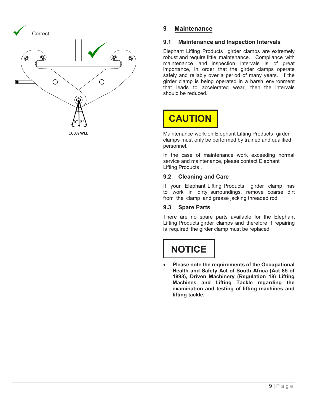

## **9 Maintenance**

### **9.1 Maintenance and Inspection Intervals**

Elephant Lifting Products girder clamps are extremely robust and require little maintenance. Compliance with maintenance and inspection intervals is of great importance, in order that the girder clamps operate safely and reliably over a period of many years. If the girder clamp is being operated in a harsh environment that leads to accelerated wear, then the intervals should be reduced.



Maintenance work on Elephant Lifting Products girder clamps must only be performed by trained and qualified personnel.

In the case of maintenance work exceeding normal service and maintenance, please contact Elephant Lifting Products .

### **9.2 Cleaning and Care**

If your Elephant Lifting Products girder clamp has to work in dirty surroundings, remove coarse dirt from the clamp and grease jacking threaded rod.

#### **9.3 Spare Parts**

There are no spare parts available for the Elephant Lifting Products girder clamps and therefore if repairing is required the girder clamp must be replaced.

# **NOTICE**

• **Please note the requirements of the Occupational Health and Safety Act of South Africa (Act 85 of 1993), Driven Machinery (Regulation 18) Lifting Machines and Lifting Tackle regarding the examination and testing of lifting machines and lifting tackle.**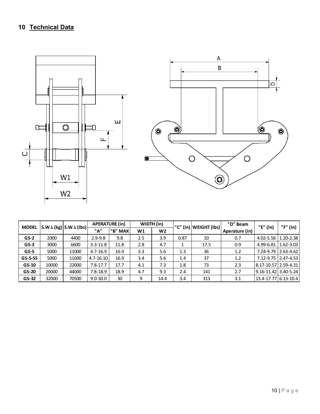## **10 Technical Data**



| <b>MODEL</b> |       | $\vert$ S.W.L (kg) $\vert$ S.W.L (lbs) | <b>APERATURE (in)</b> |         | WIDTH (in) |                |      | "C" (in)  WEIGHT (lbs) | "D" Beam       | "E" (in)               | "F" (in)            |
|--------------|-------|----------------------------------------|-----------------------|---------|------------|----------------|------|------------------------|----------------|------------------------|---------------------|
|              |       |                                        | "A"                   | "B" MAX | W1         | W <sub>2</sub> |      |                        | Aperature (in) |                        |                     |
| $GS-2$       | 2000  | 4400                                   | $2.9 - 9.8$           | 9.8     | 2.5        | 3.9            | 0.87 | 10                     | 0.7            |                        | 4.02-5.56 1.20-2.38 |
| $GS-3$       | 3000  | 6600                                   | $3.3 - 11.8$          | 11.8    | 2.8        | 4.7            |      | 17.5                   | 0.9            | 4.99-6.81              | $1.62 - 3.03$       |
| $GS-5$       | 5000  | 11000                                  | $4.7 - 16.9$          | 16.9    | 3.3        | 5.6            | 1.3  | 36                     | 1.2            | 7.24-9.79              | $12.63 - 4.62$      |
| $GS-5-SS$    | 5000  | 11000                                  | $4.7 - 16.10$         | 16.9    | 3.4        | 5.6            | 1.4  | 37                     | 1.2            |                        | 7.12-9.75 2.47-4.53 |
| $GS-10$      | 10000 | 22000                                  | $7.8 - 17.7$          | 17.7    | 4.1        | 7.3            | 1.8  | 73                     | 2.3            | 8.17-10.57   2.59-4.31 |                     |
| $GS-20$      | 20000 | 44000                                  | $7.8 - 18.9$          | 18.9    | 4.7        | 9.3            | 2.4  | 141                    | 2.7            | 9.16-11.42 3.40-5.24   |                     |
| $GS-32$      | 32000 | 70500                                  | $9.0 - 30.0$          | 30      | 9          | 14.4           | 3.4  | 313                    | 3.1            | 13.4-17.77 6.13-10.4   |                     |